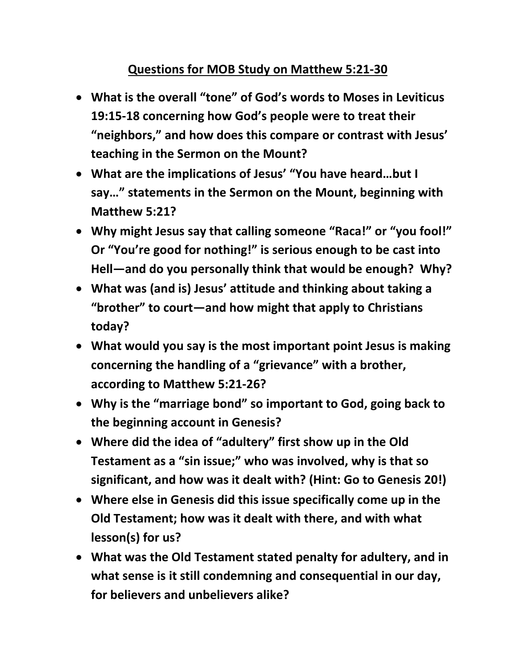## **Questions for MOB Study on Matthew 5:21-30**

- **What is the overall "tone" of God's words to Moses in Leviticus 19:15-18 concerning how God's people were to treat their "neighbors," and how does this compare or contrast with Jesus' teaching in the Sermon on the Mount?**
- **What are the implications of Jesus' "You have heard…but I say…" statements in the Sermon on the Mount, beginning with Matthew 5:21?**
- **Why might Jesus say that calling someone "Raca!" or "you fool!" Or "You're good for nothing!" is serious enough to be cast into Hell—and do you personally think that would be enough? Why?**
- **What was (and is) Jesus' attitude and thinking about taking a "brother" to court—and how might that apply to Christians today?**
- **What would you say is the most important point Jesus is making concerning the handling of a "grievance" with a brother, according to Matthew 5:21-26?**
- **Why is the "marriage bond" so important to God, going back to the beginning account in Genesis?**
- **Where did the idea of "adultery" first show up in the Old Testament as a "sin issue;" who was involved, why is that so significant, and how was it dealt with? (Hint: Go to Genesis 20!)**
- **Where else in Genesis did this issue specifically come up in the Old Testament; how was it dealt with there, and with what lesson(s) for us?**
- **What was the Old Testament stated penalty for adultery, and in what sense is it still condemning and consequential in our day, for believers and unbelievers alike?**